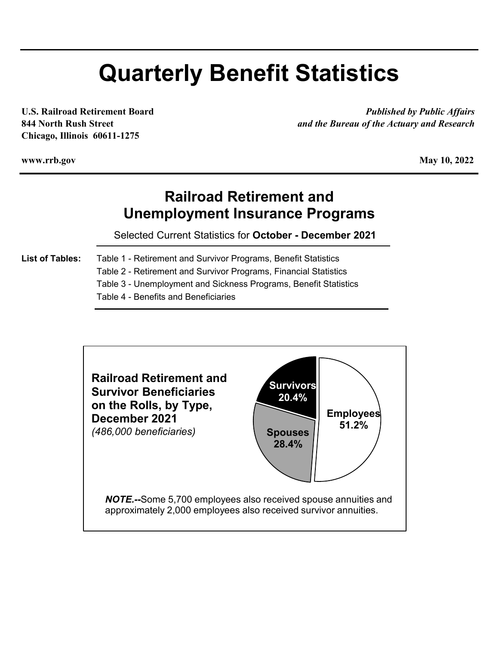# **Quarterly Benefit Statistics**

**Chicago, Illinois 60611-1275**

**U.S. Railroad Retirement Board** *Published by Public Affairs* **844 North Rush Street** *and the Bureau of the Actuary and Research*

**www.rrb.gov**

**May 10, 2022** 

## **Railroad Retirement and Unemployment Insurance Programs**

Selected Current Statistics for **October - December 2021**

- **List of Tables:** Table 1 Retirement and Survivor Programs, Benefit Statistics
	- Table 2 Retirement and Survivor Programs, Financial Statistics

Table 3 - Unemployment and Sickness Programs, Benefit Statistics

Table 4 - Benefits and Beneficiaries

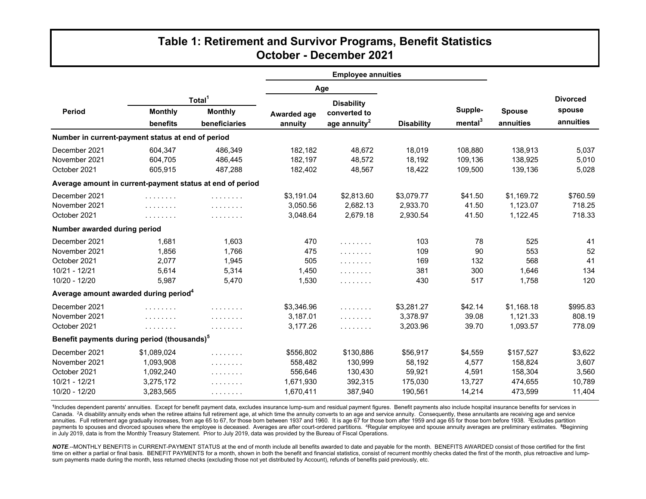## **Table 1: Retirement and Survivor Programs, Benefit Statistics October - December 2021**

|                                                           |                | <b>Employee annuities</b> |             |                          |                   |                     |               |                 |
|-----------------------------------------------------------|----------------|---------------------------|-------------|--------------------------|-------------------|---------------------|---------------|-----------------|
|                                                           |                |                           |             | Age                      |                   |                     |               |                 |
|                                                           |                | Total <sup>1</sup>        |             | <b>Disability</b>        |                   |                     |               | <b>Divorced</b> |
| Period                                                    | <b>Monthly</b> | <b>Monthly</b>            | Awarded age | converted to             |                   | Supple-             | <b>Spouse</b> | spouse          |
|                                                           | benefits       | beneficiaries             | annuity     | age annuity <sup>2</sup> | <b>Disability</b> | mental <sup>3</sup> | annuities     | annuities       |
| Number in current-payment status at end of period         |                |                           |             |                          |                   |                     |               |                 |
| December 2021                                             | 604,347        | 486,349                   | 182,182     | 48,672                   | 18,019            | 108,880             | 138,913       | 5,037           |
| November 2021                                             | 604.705        | 486.445                   | 182.197     | 48.572                   | 18.192            | 109.136             | 138.925       | 5,010           |
| October 2021                                              | 605,915        | 487,288                   | 182,402     | 48,567                   | 18,422            | 109,500             | 139,136       | 5,028           |
| Average amount in current-payment status at end of period |                |                           |             |                          |                   |                     |               |                 |
| December 2021                                             | .              | .                         | \$3,191.04  | \$2,813.60               | \$3,079.77        | \$41.50             | \$1,169.72    | \$760.59        |
| November 2021                                             | .              | .                         | 3,050.56    | 2,682.13                 | 2,933.70          | 41.50               | 1,123.07      | 718.25          |
| October 2021                                              | .              | .                         | 3,048.64    | 2,679.18                 | 2,930.54          | 41.50               | 1,122.45      | 718.33          |
| Number awarded during period                              |                |                           |             |                          |                   |                     |               |                 |
| December 2021                                             | 1,681          | 1,603                     | 470         | .                        | 103               | 78                  | 525           | 41              |
| November 2021                                             | 1,856          | 1,766                     | 475         | .                        | 109               | 90                  | 553           | 52              |
| October 2021                                              | 2.077          | 1,945                     | 505         | .                        | 169               | 132                 | 568           | 41              |
| 10/21 - 12/21                                             | 5,614          | 5,314                     | 1,450       | .                        | 381               | 300                 | 1,646         | 134             |
| 10/20 - 12/20                                             | 5,987          | 5,470                     | 1,530       | .                        | 430               | 517                 | 1,758         | 120             |
| Average amount awarded during period <sup>4</sup>         |                |                           |             |                          |                   |                     |               |                 |
| December 2021                                             | .              | .                         | \$3,346.96  | .                        | \$3,281.27        | \$42.14             | \$1,168.18    | \$995.83        |
| November 2021                                             | .              | .                         | 3,187.01    | .                        | 3,378.97          | 39.08               | 1,121.33      | 808.19          |
| October 2021                                              | .              | .                         | 3,177.26    | .                        | 3,203.96          | 39.70               | 1,093.57      | 778.09          |
| Benefit payments during period (thousands) <sup>5</sup>   |                |                           |             |                          |                   |                     |               |                 |
| December 2021                                             | \$1,089,024    | .                         | \$556,802   | \$130,886                | \$56,917          | \$4,559             | \$157,527     | \$3,622         |
| November 2021                                             | 1,093,908      | .                         | 558,482     | 130,999                  | 58,192            | 4,577               | 158,824       | 3,607           |
| October 2021                                              | 1,092,240      | .                         | 556,646     | 130,430                  | 59,921            | 4,591               | 158,304       | 3,560           |
| 10/21 - 12/21                                             | 3,275,172      | .                         | 1,671,930   | 392,315                  | 175,030           | 13,727              | 474,655       | 10,789          |
| 10/20 - 12/20                                             | 3,283,565      | .                         | 1,670,411   | 387,940                  | 190,561           | 14,214              | 473,599       | 11,404          |

**<sup>1</sup>**Includes dependent parents' annuities. Except for benefit payment data, excludes insurance lump-sum and residual payment figures. Benefit payments also include hospital insurance benefits for services in Canada. <sup>2</sup>A disability annuity ends when the retiree attains full retirement age, at which time the annuity converts to an age and service annuity. Consequently, these annuitants are receiving age and service annuities. Full retirement age gradually increases, from age 65 to 67, for those born between 1937 and 1960. It is age 67 for those born after 1959 and age 65 for those born before 1938. <sup>3</sup>Excludes partition payments to spouses and divorced spouses where the employee is deceased. Averages are after court-ordered partitions. 4Regular employee and spouse annuity averages are preliminary estimates. **<sup>5</sup>**Beginning in July 2019, data is from the Monthly Treasury Statement. Prior to July 2019, data was provided by the Bureau of Fiscal Operations.

NOTE.--MONTHLY BENEFITS in CURRENT-PAYMENT STATUS at the end of month include all benefits awarded to date and payable for the month. BENEFITS AWARDED consist of those certified for the first time on either a partial or final basis. BENEFIT PAYMENTS for a month, shown in both the benefit and financial statistics, consist of recurrent monthly checks dated the first of the month, plus retroactive and lumpsum payments made during the month, less returned checks (excluding those not yet distributed by Account), refunds of benefits paid previously, etc.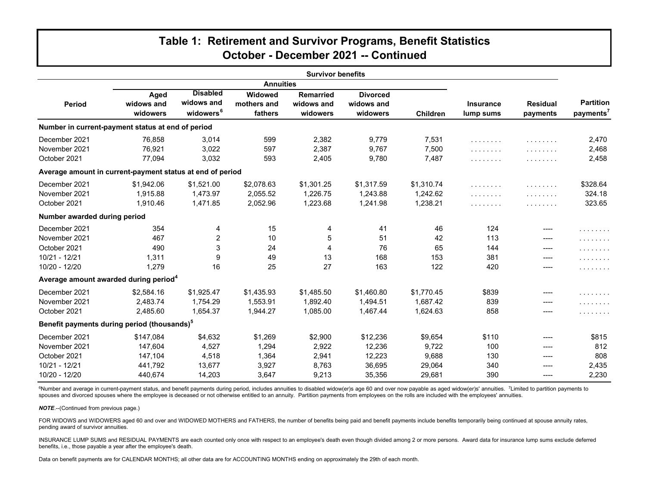## **Table 1: Retirement and Survivor Programs, Benefit Statistics October - December 2021 -- Continued**

| <b>Survivor benefits</b>                                  |                                |                                                        |                                   |                                            |                                           |                        |                               |                             |                                           |
|-----------------------------------------------------------|--------------------------------|--------------------------------------------------------|-----------------------------------|--------------------------------------------|-------------------------------------------|------------------------|-------------------------------|-----------------------------|-------------------------------------------|
| <b>Annuities</b>                                          |                                |                                                        |                                   |                                            |                                           |                        |                               |                             |                                           |
| Period                                                    | Aged<br>widows and<br>widowers | <b>Disabled</b><br>widows and<br>widowers <sup>6</sup> | Widowed<br>mothers and<br>fathers | <b>Remarried</b><br>widows and<br>widowers | <b>Divorced</b><br>widows and<br>widowers | <b>Children</b>        | <b>Insurance</b><br>lump sums | <b>Residual</b><br>payments | <b>Partition</b><br>payments <sup>7</sup> |
| Number in current-payment status at end of period         |                                |                                                        |                                   |                                            |                                           |                        |                               |                             |                                           |
| December 2021                                             | 76,858                         | 3,014                                                  | 599                               | 2,382                                      | 9,779                                     | 7,531                  | .                             | .                           | 2,470                                     |
| November 2021<br>October 2021                             | 76,921<br>77,094               | 3,022<br>3,032                                         | 597<br>593                        | 2,387<br>2,405                             | 9,767<br>9,780                            | 7,500<br>7,487         | .<br>.                        | .<br>.                      | 2,468<br>2,458                            |
| Average amount in current-payment status at end of period |                                |                                                        |                                   |                                            |                                           |                        |                               |                             |                                           |
| December 2021<br>November 2021                            | \$1,942.06<br>1,915.88         | \$1,521.00<br>1,473.97                                 | \$2,078.63<br>2,055.52            | \$1,301.25<br>1,226.75                     | \$1,317.59<br>1,243.88                    | \$1,310.74<br>1,242.62 | .<br>.                        | .<br>.                      | \$328.64<br>324.18                        |
| October 2021                                              | 1,910.46                       | 1,471.85                                               | 2,052.96                          | 1,223.68                                   | 1,241.98                                  | 1,238.21               | .                             | .                           | 323.65                                    |
| Number awarded during period                              |                                |                                                        |                                   |                                            |                                           |                        |                               |                             |                                           |
| December 2021                                             | 354                            | 4                                                      | 15                                | 4                                          | 41                                        | 46                     | 124                           | ----                        | .                                         |
| November 2021                                             | 467                            | $\overline{c}$                                         | 10                                | 5                                          | 51                                        | 42                     | 113                           | ----                        | .                                         |
| October 2021                                              | 490                            | 3                                                      | 24                                | $\overline{4}$                             | 76                                        | 65                     | 144                           | ----                        | .                                         |
| 10/21 - 12/21                                             | 1,311                          | 9                                                      | 49                                | 13                                         | 168                                       | 153                    | 381                           |                             | .                                         |
| 10/20 - 12/20                                             | 1,279                          | 16                                                     | 25                                | 27                                         | 163                                       | 122                    | 420                           | ----                        | .                                         |
| Average amount awarded during period <sup>4</sup>         |                                |                                                        |                                   |                                            |                                           |                        |                               |                             |                                           |
| December 2021                                             | \$2,584.16                     | \$1,925.47                                             | \$1,435.93                        | \$1,485.50                                 | \$1,460.80                                | \$1,770.45             | \$839                         | ----                        | .                                         |
| November 2021                                             | 2,483.74                       | 1,754.29                                               | 1,553.91                          | 1,892.40                                   | 1,494.51                                  | 1,687.42               | 839                           | ----                        | .                                         |
| October 2021                                              | 2,485.60                       | 1.654.37                                               | 1,944.27                          | 1,085.00                                   | 1.467.44                                  | 1,624.63               | 858                           | ----                        | .                                         |
| Benefit payments during period (thousands) <sup>5</sup>   |                                |                                                        |                                   |                                            |                                           |                        |                               |                             |                                           |
| December 2021                                             | \$147,084                      | \$4,632                                                | \$1,269                           | \$2,900                                    | \$12,236                                  | \$9,654                | \$110                         | ----                        | \$815                                     |
| November 2021                                             | 147,604                        | 4,527                                                  | 1,294                             | 2,922                                      | 12,236                                    | 9,722                  | 100                           | ----                        | 812                                       |
| October 2021                                              | 147,104                        | 4,518                                                  | 1,364                             | 2,941                                      | 12,223                                    | 9,688                  | 130                           | ----                        | 808                                       |
| 10/21 - 12/21                                             | 441,792                        | 13,677                                                 | 3,927                             | 8,763                                      | 36,695                                    | 29,064                 | 340                           | ----                        | 2,435                                     |
| 10/20 - 12/20                                             | 440,674                        | 14,203                                                 | 3,647                             | 9,213                                      | 35,356                                    | 29,681                 | 390                           | ----                        | 2,230                                     |

<sup>6</sup>Number and average in current-payment status, and benefit payments during period, includes annuities to disabled widow(er)s age 60 and over now payable as aged widow(er)s' annuities. <sup>7</sup>Limited to partition payments to spouses and divorced spouses where the employee is deceased or not otherwise entitled to an annuity. Partition payments from employees on the rolls are included with the employees' annuities.

*NOTE*.--(Continued from previous page.)

FOR WIDOWS and WIDOWERS aged 60 and over and WIDOWED MOTHERS and FATHERS, the number of benefits being paid and benefit payments include benefits temporarily being continued at spouse annuity rates, pending award of survivor annuities.

INSURANCE LUMP SUMS and RESIDUAL PAYMENTS are each counted only once with respect to an employee's death even though divided among 2 or more persons. Award data for insurance lump sums exclude deferred benefits, i.e., those payable a year after the employee's death.

Data on benefit payments are for CALENDAR MONTHS; all other data are for ACCOUNTING MONTHS ending on approximately the 29th of each month.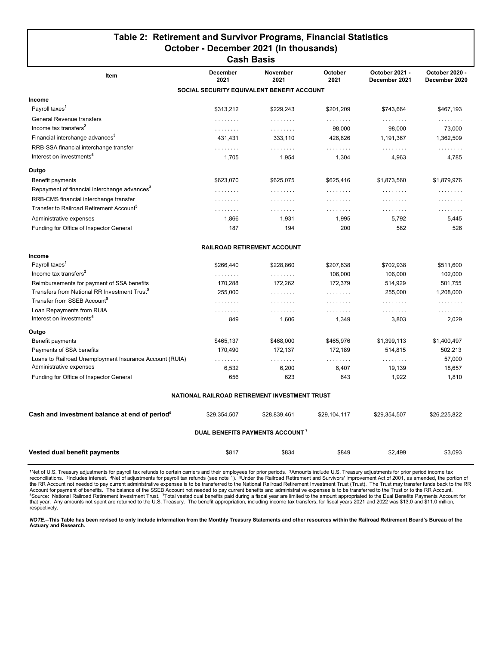#### **Table 2: Retirement and Survivor Programs, Financial Statistics October - December 2021 (In thousands) Cash Basis**

| uasii dasis                                               |                         |                                               |                 |                                 |                                 |  |  |  |
|-----------------------------------------------------------|-------------------------|-----------------------------------------------|-----------------|---------------------------------|---------------------------------|--|--|--|
| Item                                                      | <b>December</b><br>2021 | <b>November</b><br>2021                       | October<br>2021 | October 2021 -<br>December 2021 | October 2020 -<br>December 2020 |  |  |  |
|                                                           |                         | SOCIAL SECURITY EQUIVALENT BENEFIT ACCOUNT    |                 |                                 |                                 |  |  |  |
| Income                                                    |                         |                                               |                 |                                 |                                 |  |  |  |
| Payroll taxes <sup>1</sup>                                | \$313,212               | \$229,243                                     | \$201,209       | \$743,664                       | \$467,193                       |  |  |  |
| General Revenue transfers                                 | .                       | .                                             | .               | .                               | .                               |  |  |  |
| Income tax transfers <sup>2</sup>                         | .                       | .                                             | 98,000          | 98,000                          | 73,000                          |  |  |  |
| Financial interchange advances <sup>3</sup>               | 431,431                 | 333,110                                       | 426,826         | 1,191,367                       | 1,362,509                       |  |  |  |
| RRB-SSA financial interchange transfer                    | .                       | .                                             | .               | .                               | .                               |  |  |  |
| Interest on investments <sup>4</sup>                      | 1,705                   | 1,954                                         | 1,304           | 4,963                           | 4,785                           |  |  |  |
| Outgo                                                     |                         |                                               |                 |                                 |                                 |  |  |  |
| Benefit payments                                          | \$623,070               | \$625,075                                     | \$625,416       | \$1,873,560                     | \$1,879,976                     |  |  |  |
| Repayment of financial interchange advances <sup>3</sup>  | .                       | .                                             | .               | .                               | .                               |  |  |  |
| RRB-CMS financial interchange transfer                    | .                       | .                                             | .               | .                               | .                               |  |  |  |
| Transfer to Railroad Retirement Account <sup>®</sup>      | .                       | .                                             | .               | .                               | .                               |  |  |  |
| Administrative expenses                                   | 1,866                   | 1,931                                         | 1,995           | 5,792                           | 5,445                           |  |  |  |
| Funding for Office of Inspector General                   | 187                     | 194                                           | 200             | 582                             | 526                             |  |  |  |
|                                                           |                         | <b>RAILROAD RETIREMENT ACCOUNT</b>            |                 |                                 |                                 |  |  |  |
| Income                                                    |                         |                                               |                 |                                 |                                 |  |  |  |
| Payroll taxes <sup>1</sup>                                | \$266,440               | \$228,860                                     | \$207,638       | \$702,938                       | \$511,600                       |  |  |  |
| Income tax transfers <sup>2</sup>                         | .                       | .                                             | 106,000         | 106,000                         | 102,000                         |  |  |  |
| Reimbursements for payment of SSA benefits                | 170,288                 | 172,262                                       | 172,379         | 514,929                         | 501,755                         |  |  |  |
| Transfers from National RR Investment Trust <sup>®</sup>  | 255,000                 | .                                             | .               | 255,000                         | 1,208,000                       |  |  |  |
| Transfer from SSEB Account <sup>5</sup>                   | .                       | .                                             | .               | .                               | .                               |  |  |  |
| Loan Repayments from RUIA                                 | .                       | .                                             | .               | .                               | .                               |  |  |  |
| Interest on investments <sup>4</sup>                      | 849                     | 1,606                                         | 1,349           | 3,803                           | 2,029                           |  |  |  |
| Outgo                                                     |                         |                                               |                 |                                 |                                 |  |  |  |
| Benefit payments                                          | \$465,137               | \$468,000                                     | \$465,976       | \$1,399,113                     | \$1,400,497                     |  |  |  |
| Payments of SSA benefits                                  | 170,490                 | 172,137                                       | 172,189         | 514,815                         | 502,213                         |  |  |  |
| Loans to Railroad Unemployment Insurance Account (RUIA)   | .                       | .                                             | .               | .                               | 57,000                          |  |  |  |
| Administrative expenses                                   | 6,532                   | 6,200                                         | 6,407           | 19,139                          | 18,657                          |  |  |  |
| Funding for Office of Inspector General                   | 656                     | 623                                           | 643             | 1,922                           | 1,810                           |  |  |  |
|                                                           |                         | NATIONAL RAILROAD RETIREMENT INVESTMENT TRUST |                 |                                 |                                 |  |  |  |
| Cash and investment balance at end of period <sup>6</sup> | \$29,354,507            | \$28,839,461                                  | \$29,104,117    | \$29,354,507                    | \$26,225,822                    |  |  |  |
|                                                           |                         | DUAL BENEFITS PAYMENTS ACCOUNT <sup>7</sup>   |                 |                                 |                                 |  |  |  |
| Vested dual benefit payments                              | \$817                   | \$834                                         | \$849           | \$2.499                         | \$3.093                         |  |  |  |

\*Net of U.S. Treasury adjustments for payroll tax refunds to certain carriers and their employees for prior periods. <sup>2</sup>Amounts include U.S. Treasury adjustments for prior period income tax<br>reconciliations. <sup>3</sup>Includes i Account for payment of benefits. The balance of the SSEB Account not needed to pay current benefits and administrative expenses is to be transferred to the Trust or to the RR Account.<br>ºSource: National Railroad Retiremen respectively.

*NOTE*.--**This Table has been revised to only include information from the Monthly Treasury Statements and other resources within the Railroad Retirement Board's Bureau of the Actuary and Research.**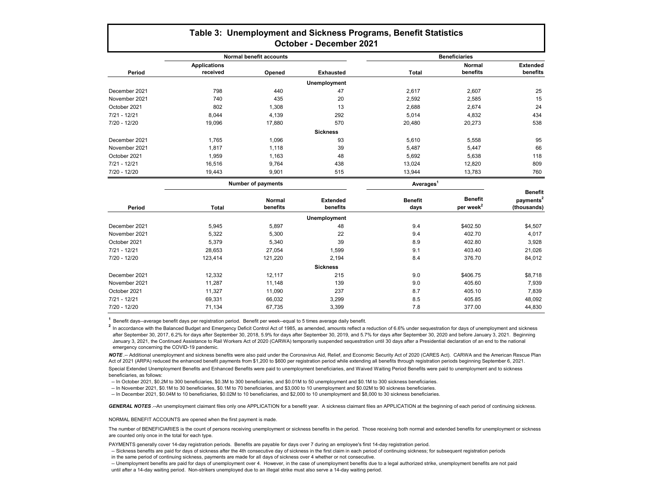### **Table 3: Unemployment and Sickness Programs, Benefit Statistics October - December 2021**

|                | <b>Normal benefit accounts</b> |        |                  | <b>Beneficiaries</b> |               |                 |  |
|----------------|--------------------------------|--------|------------------|----------------------|---------------|-----------------|--|
|                | <b>Applications</b>            |        |                  |                      | <b>Normal</b> | <b>Extended</b> |  |
| Period         | received                       | Opened | <b>Exhausted</b> | Total                | benefits      | benefits        |  |
|                |                                |        | Unemployment     |                      |               |                 |  |
| December 2021  | 798                            | 440    | 47               | 2,617                | 2,607         | 25              |  |
| November 2021  | 740                            | 435    | 20               | 2,592                | 2,585         | 15              |  |
| October 2021   | 802                            | 1,308  | 13               | 2,688                | 2,674         | 24              |  |
| $7/21 - 12/21$ | 8.044                          | 4,139  | 292              | 5.014                | 4,832         | 434             |  |
| $7/20 - 12/20$ | 19,096                         | 17,880 | 570              | 20,480               | 20,273        | 538             |  |
|                |                                |        | <b>Sickness</b>  |                      |               |                 |  |
| December 2021  | 1,765                          | 1,096  | 93               | 5,610                | 5,558         | 95              |  |
| November 2021  | 1.817                          | 1.118  | 39               | 5,487                | 5,447         | 66              |  |
| October 2021   | 1,959                          | 1,163  | 48               | 5,692                | 5,638         | 118             |  |
| $7/21 - 12/21$ | 16,516                         | 9,764  | 438              | 13,024               | 12,820        | 809             |  |
| 7/20 - 12/20   | 19,443                         | 9,901  | 515              | 13,944               | 13,783        | 760             |  |

|                |              | <b>Number of payments</b> |                             | Averages <sup>1</sup>  |                                  |                                                        |
|----------------|--------------|---------------------------|-----------------------------|------------------------|----------------------------------|--------------------------------------------------------|
| Period         | <b>Total</b> | <b>Normal</b><br>benefits | <b>Extended</b><br>benefits | <b>Benefit</b><br>days | Benefit<br>per week <sup>2</sup> | <b>Benefit</b><br>payments <sup>2</sup><br>(thousands) |
|                |              |                           | <b>Unemployment</b>         |                        |                                  |                                                        |
| December 2021  | 5,945        | 5,897                     | 48                          | 9.4                    | \$402.50                         | \$4,507                                                |
| November 2021  | 5,322        | 5,300                     | 22                          | 9.4                    | 402.70                           | 4,017                                                  |
| October 2021   | 5,379        | 5,340                     | 39                          | 8.9                    | 402.80                           | 3,928                                                  |
| $7/21 - 12/21$ | 28,653       | 27,054                    | 1,599                       | 9.1                    | 403.40                           | 21,026                                                 |
| 7/20 - 12/20   | 123,414      | 121,220                   | 2,194                       | 8.4                    | 376.70                           | 84,012                                                 |
|                |              |                           | <b>Sickness</b>             |                        |                                  |                                                        |
| December 2021  | 12,332       | 12,117                    | 215                         | 9.0                    | \$406.75                         | \$8,718                                                |
| November 2021  | 11,287       | 11,148                    | 139                         | 9.0                    | 405.60                           | 7,939                                                  |
| October 2021   | 11,327       | 11,090                    | 237                         | 8.7                    | 405.10                           | 7,839                                                  |
| $7/21 - 12/21$ | 69,331       | 66,032                    | 3,299                       | 8.5                    | 405.85                           | 48,092                                                 |
| 7/20 - 12/20   | 71,134       | 67,735                    | 3,399                       | 7.8                    | 377.00                           | 44,830                                                 |

<sup>1</sup> Benefit days--average benefit days per registration period. Benefit per week--equal to 5 times average daily benefit.

<sup>2</sup> In accordance with the Balanced Budget and Emergency Deficit Control Act of 1985, as amended, amounts reflect a reduction of 6.6% under sequestration for days of unemployment and sickness after September 30, 2017, 6.2% for days after September 30, 2018, 5.9% for days after September 30, 2019, and 5.7% for days after September 30, 2020 and before January 3, 2021. Beginning January 3, 2021, the Continued Assistance to Rail Workers Act of 2020 (CARWA) temporarily suspended sequestration until 30 days after a Presidential declaration of an end to the national emergency concerning the COVID-19 pandemic.

*NOTE* .-- Additional unemployment and sickness benefits were also paid under the Coronavirus Aid, Relief, and Economic Security Act of 2020 (CARES Act). CARWA and the American Rescue Plan Act of 2021 (ARPA) reduced the enhanced benefit payments from \$1,200 to \$600 per registration period while extending all benefits through registration periods beginning September 6, 2021.

Special Extended Unemployment Benefits and Enhanced Benefits were paid to unemployment beneficiaries, and Waived Waiting Period Benefits were paid to unemployment and to sickness beneficiaries, as follows:

-- In October 2021, \$0.2M to 300 beneficiaries, \$0.3M to 300 beneficiaries, and \$0.01M to 50 unemployment and \$0.1M to 300 sickness beneficiaries.

-- In November 2021, \$0.1M to 30 beneficiaries, \$0.1M to 70 beneficiaries, and \$3,000 to 10 unemployment and \$0.02M to 90 sickness beneficiaries.

-- In December 2021, \$0.04M to 10 beneficiaries, \$0.02M to 10 beneficiaries, and \$2,000 to 10 unemployment and \$8,000 to 30 sickness beneficiaries.

*GENERAL NOTES* .--An unemployment claimant files only one APPLICATION for a benefit year. A sickness claimant files an APPLICATION at the beginning of each period of continuing sickness.

NORMAL BENEFIT ACCOUNTS are opened when the first payment is made.

The number of BENEFICIARIES is the count of persons receiving unemployment or sickness benefits in the period. Those receiving both normal and extended benefits for unemployment or sickness are counted only once in the total for each type.

PAYMENTS generally cover 14-day registration periods. Benefits are payable for days over 7 during an employee's first 14-day registration period.

<sup>--</sup> Sickness benefits are paid for days of sickness after the 4th consecutive day of sickness in the first claim in each period of continuing sickness; for subsequent registration periods

in the same period of continuing sickness, payments are made for all days of sickness over 4 whether or not consecutive.

<sup>--</sup> Unemployment benefits are paid for days of unemployment over 4. However, in the case of unemployment benefits due to a legal authorized strike, unemployment benefits are not paid until after a 14-day waiting period. Non-strikers unemployed due to an illegal strike must also serve a 14-day waiting period.